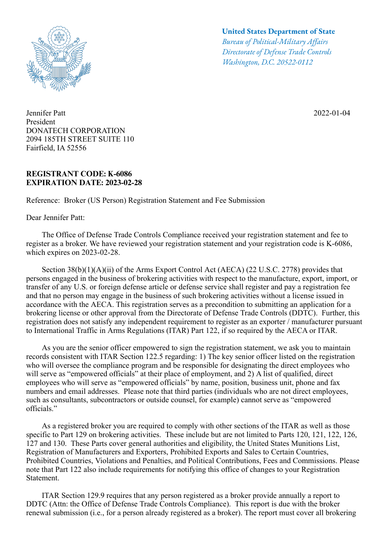

Jennifer Patt President DONATECH CORPORATION 2094 185TH STREET SUITE 110 Fairfield, IA 52556

## **REGISTRANT CODE: K-6086 EXPIRATION DATE: 2023-02-28**

Reference: Broker (US Person) Registration Statement and Fee Submission

Dear Jennifer Patt:

## **United States Department of State**

*Bureau of Political-Military Afairs Directorate of Defense Trade Controls Washington, D.C. 20522-0112*

2022-01-04

 The Office of Defense Trade Controls Compliance received your registration statement and fee to register as a broker. We have reviewed your registration statement and your registration code is K-6086, which expires on 2023-02-28.

Section 38(b)(1)(A)(ii) of the Arms Export Control Act (AECA) (22 U.S.C. 2778) provides that persons engaged in the business of brokering activities with respect to the manufacture, export, import, or transfer of any U.S. or foreign defense article or defense service shall register and pay a registration fee and that no person may engage in the business of such brokering activities without a license issued in accordance with the AECA. This registration serves as a precondition to submitting an application for a brokering license or other approval from the Directorate of Defense Trade Controls (DDTC). Further, this registration does not satisfy any independent requirement to register as an exporter / manufacturer pursuant to International Traffic in Arms Regulations (ITAR) Part 122, if so required by the AECA or ITAR.

 As you are the senior officer empowered to sign the registration statement, we ask you to maintain records consistent with ITAR Section 122.5 regarding: 1) The key senior officer listed on the registration who will oversee the compliance program and be responsible for designating the direct employees who will serve as "empowered officials" at their place of employment, and 2) A list of qualified, direct employees who will serve as "empowered officials" by name, position, business unit, phone and fax numbers and email addresses. Please note that third parties (individuals who are not direct employees, such as consultants, subcontractors or outside counsel, for example) cannot serve as "empowered officials."

 As a registered broker you are required to comply with other sections of the ITAR as well as those specific to Part 129 on brokering activities. These include but are not limited to Parts 120, 121, 122, 126, 127 and 130. These Parts cover general authorities and eligibility, the United States Munitions List, Registration of Manufacturers and Exporters, Prohibited Exports and Sales to Certain Countries, Prohibited Countries, Violations and Penalties, and Political Contributions, Fees and Commissions. Please note that Part 122 also include requirements for notifying this office of changes to your Registration Statement.

 ITAR Section 129.9 requires that any person registered as a broker provide annually a report to DDTC (Attn: the Office of Defense Trade Controls Compliance). This report is due with the broker renewal submission (i.e., for a person already registered as a broker). The report must cover all brokering